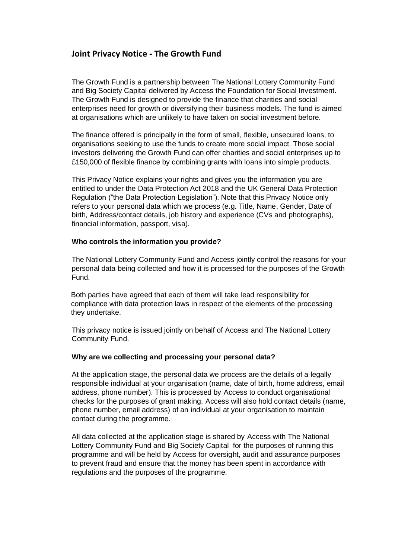# **Joint Privacy Notice - The Growth Fund**

The Growth Fund is a partnership between The National Lottery Community Fund and Big Society Capital delivered by Access the Foundation for Social Investment. The Growth Fund is designed to provide the finance that charities and social enterprises need for growth or diversifying their business models. The fund is aimed at organisations which are unlikely to have taken on social investment before.

The finance offered is principally in the form of small, flexible, unsecured loans, to organisations seeking to use the funds to create more social impact. Those social investors delivering the Growth Fund can offer charities and social enterprises up to £150,000 of flexible finance by combining grants with loans into simple products.

This Privacy Notice explains your rights and gives you the information you are entitled to under the Data Protection Act 2018 and the UK General Data Protection Regulation ("the Data Protection Legislation"). Note that this Privacy Notice only refers to your personal data which we process (e.g. Title, Name, Gender, Date of birth, Address/contact details, job history and experience (CVs and photographs), financial information, passport, visa).

# **Who controls the information you provide?**

The National Lottery Community Fund and Access jointly control the reasons for your personal data being collected and how it is processed for the purposes of the Growth Fund.

Both parties have agreed that each of them will take lead responsibility for compliance with data protection laws in respect of the elements of the processing they undertake.

This privacy notice is issued jointly on behalf of Access and The National Lottery Community Fund.

# **Why are we collecting and processing your personal data?**

At the application stage, the personal data we process are the details of a legally responsible individual at your organisation (name, date of birth, home address, email address, phone number). This is processed by Access to conduct organisational checks for the purposes of grant making. Access will also hold contact details (name, phone number, email address) of an individual at your organisation to maintain contact during the programme.

All data collected at the application stage is shared by Access with The National Lottery Community Fund and Big Society Capital for the purposes of running this programme and will be held by Access for oversight, audit and assurance purposes to prevent fraud and ensure that the money has been spent in accordance with regulations and the purposes of the programme.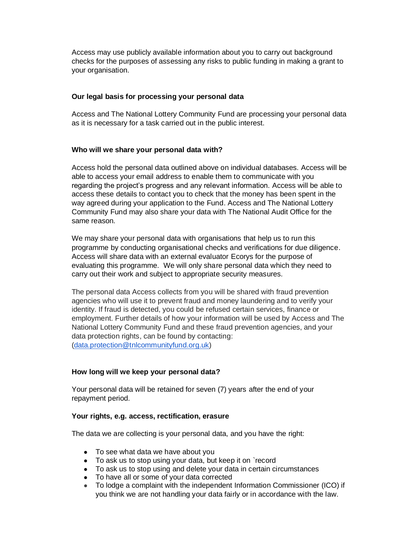Access may use publicly available information about you to carry out background checks for the purposes of assessing any risks to public funding in making a grant to your organisation.

# **Our legal basis for processing your personal data**

Access and The National Lottery Community Fund are processing your personal data as it is necessary for a task carried out in the public interest.

# **Who will we share your personal data with?**

Access hold the personal data outlined above on individual databases. Access will be able to access your email address to enable them to communicate with you regarding the project's progress and any relevant information. Access will be able to access these details to contact you to check that the money has been spent in the way agreed during your application to the Fund. Access and The National Lottery Community Fund may also share your data with The National Audit Office for the same reason.

We may share your personal data with organisations that help us to run this programme by conducting organisational checks and verifications for due diligence. Access will share data with an external evaluator Ecorys for the purpose of evaluating this programme. We will only share personal data which they need to carry out their work and subject to appropriate security measures.

The personal data Access collects from you will be shared with fraud prevention agencies who will use it to prevent fraud and money laundering and to verify your identity. If fraud is detected, you could be refused certain services, finance or employment. Further details of how your information will be used by Access and The National Lottery Community Fund and these fraud prevention agencies, and your data protection rights, can be found by contacting: [\(data.protection@tnlcommunityfund.org.uk\)](mailto:data.protection@tnlcommunityfund.org.uk)

# **How long will we keep your personal data?**

Your personal data will be retained for seven (7) years after the end of your repayment period.

#### **Your rights, e.g. access, rectification, erasure**

The data we are collecting is your personal data, and you have the right:

- To see what data we have about you
- To ask us to stop using your data, but keep it on `record
- To ask us to stop using and delete your data in certain circumstances
- To have all or some of your data corrected
- To lodge a complaint with the independent Information Commissioner (ICO) if you think we are not handling your data fairly or in accordance with the law.